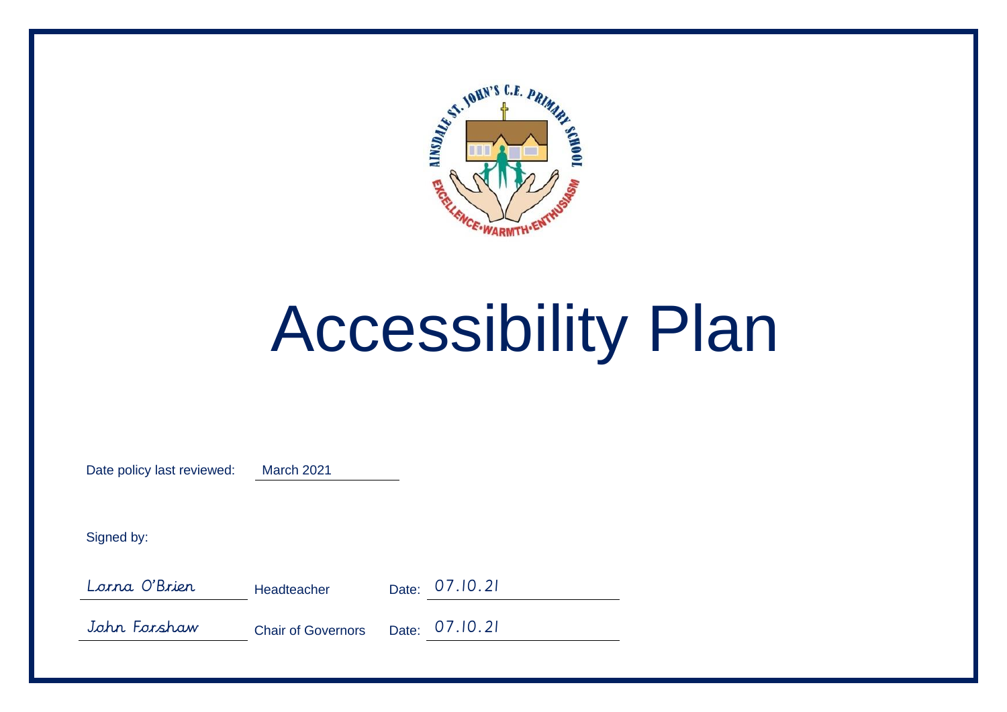

# Accessibility Plan

Date policy last reviewed: March 2021

Signed by:

Lorna O'Brien Headteacher Date: 07.10.21

John Forshaw Chair of Governors Date: 07.10.21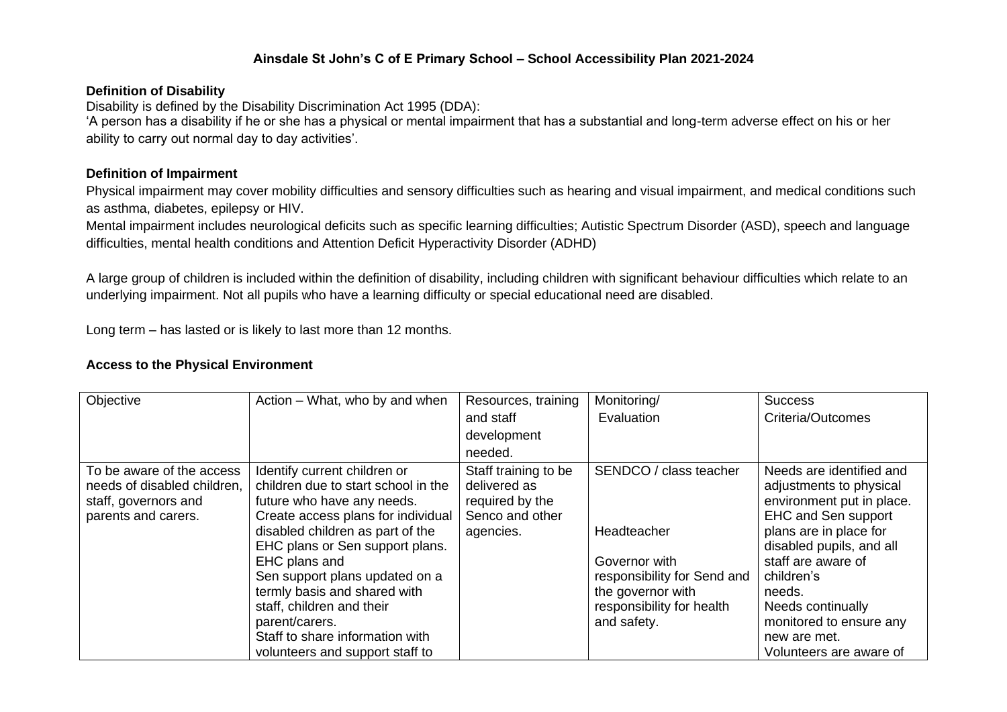#### **Ainsdale St John's C of E Primary School – School Accessibility Plan 2021-2024**

#### **Definition of Disability**

Disability is defined by the Disability Discrimination Act 1995 (DDA):

'A person has a disability if he or she has a physical or mental impairment that has a substantial and long-term adverse effect on his or her ability to carry out normal day to day activities'.

#### **Definition of Impairment**

Physical impairment may cover mobility difficulties and sensory difficulties such as hearing and visual impairment, and medical conditions such as asthma, diabetes, epilepsy or HIV.

Mental impairment includes neurological deficits such as specific learning difficulties; Autistic Spectrum Disorder (ASD), speech and language difficulties, mental health conditions and Attention Deficit Hyperactivity Disorder (ADHD)

A large group of children is included within the definition of disability, including children with significant behaviour difficulties which relate to an underlying impairment. Not all pupils who have a learning difficulty or special educational need are disabled.

Long term – has lasted or is likely to last more than 12 months.

#### **Access to the Physical Environment**

| Objective                                                                                               | Action – What, who by and when                                                                                                                                                                                                                                    | Resources, training                                                                     | Monitoring/                                                                           | <b>Success</b>                                                                                                                                                                                           |
|---------------------------------------------------------------------------------------------------------|-------------------------------------------------------------------------------------------------------------------------------------------------------------------------------------------------------------------------------------------------------------------|-----------------------------------------------------------------------------------------|---------------------------------------------------------------------------------------|----------------------------------------------------------------------------------------------------------------------------------------------------------------------------------------------------------|
|                                                                                                         |                                                                                                                                                                                                                                                                   | and staff                                                                               | Evaluation                                                                            | Criteria/Outcomes                                                                                                                                                                                        |
|                                                                                                         |                                                                                                                                                                                                                                                                   | development                                                                             |                                                                                       |                                                                                                                                                                                                          |
|                                                                                                         |                                                                                                                                                                                                                                                                   | needed.                                                                                 |                                                                                       |                                                                                                                                                                                                          |
| To be aware of the access<br>needs of disabled children,<br>staff, governors and<br>parents and carers. | Identify current children or<br>children due to start school in the<br>future who have any needs.<br>Create access plans for individual<br>disabled children as part of the<br>EHC plans or Sen support plans.<br>EHC plans and<br>Sen support plans updated on a | Staff training to be<br>delivered as<br>required by the<br>Senco and other<br>agencies. | SENDCO / class teacher<br>Headteacher<br>Governor with<br>responsibility for Send and | Needs are identified and<br>adjustments to physical<br>environment put in place.<br><b>EHC and Sen support</b><br>plans are in place for<br>disabled pupils, and all<br>staff are aware of<br>children's |
|                                                                                                         | termly basis and shared with<br>staff, children and their<br>parent/carers.<br>Staff to share information with                                                                                                                                                    |                                                                                         | the governor with<br>responsibility for health<br>and safety.                         | needs.<br>Needs continually<br>monitored to ensure any                                                                                                                                                   |
|                                                                                                         | volunteers and support staff to                                                                                                                                                                                                                                   |                                                                                         |                                                                                       | new are met.<br>Volunteers are aware of                                                                                                                                                                  |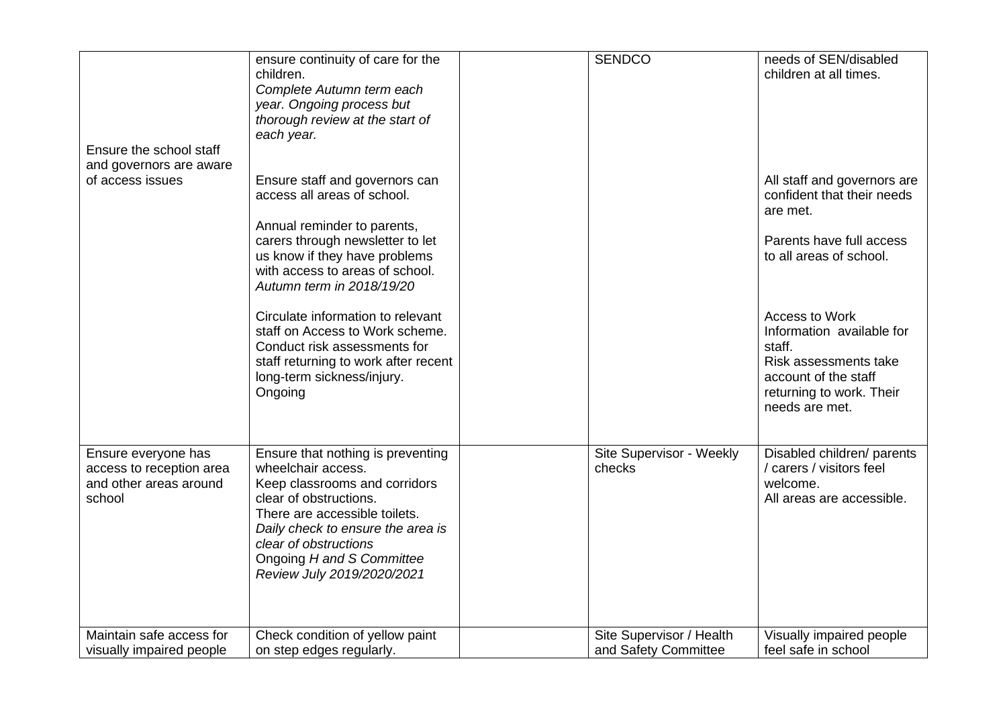| Ensure the school staff<br>and governors are aware<br>of access issues              | ensure continuity of care for the<br>children.<br>Complete Autumn term each<br>year. Ongoing process but<br>thorough review at the start of<br>each year.<br>Ensure staff and governors can<br>access all areas of school.<br>Annual reminder to parents,<br>carers through newsletter to let<br>us know if they have problems<br>with access to areas of school.<br>Autumn term in 2018/19/20<br>Circulate information to relevant | <b>SENDCO</b>                                    | needs of SEN/disabled<br>children at all times.<br>All staff and governors are<br>confident that their needs<br>are met.<br>Parents have full access<br>to all areas of school.<br>Access to Work |
|-------------------------------------------------------------------------------------|-------------------------------------------------------------------------------------------------------------------------------------------------------------------------------------------------------------------------------------------------------------------------------------------------------------------------------------------------------------------------------------------------------------------------------------|--------------------------------------------------|---------------------------------------------------------------------------------------------------------------------------------------------------------------------------------------------------|
|                                                                                     | staff on Access to Work scheme.<br>Conduct risk assessments for<br>staff returning to work after recent<br>long-term sickness/injury.<br>Ongoing                                                                                                                                                                                                                                                                                    |                                                  | Information available for<br>staff.<br>Risk assessments take<br>account of the staff<br>returning to work. Their<br>needs are met.                                                                |
| Ensure everyone has<br>access to reception area<br>and other areas around<br>school | Ensure that nothing is preventing<br>wheelchair access.<br>Keep classrooms and corridors<br>clear of obstructions.<br>There are accessible toilets.<br>Daily check to ensure the area is<br>clear of obstructions<br>Ongoing H and S Committee<br>Review July 2019/2020/2021                                                                                                                                                        | Site Supervisor - Weekly<br>checks               | Disabled children/ parents<br>/ carers / visitors feel<br>welcome.<br>All areas are accessible.                                                                                                   |
| Maintain safe access for<br>visually impaired people                                | Check condition of yellow paint<br>on step edges regularly.                                                                                                                                                                                                                                                                                                                                                                         | Site Supervisor / Health<br>and Safety Committee | Visually impaired people<br>feel safe in school                                                                                                                                                   |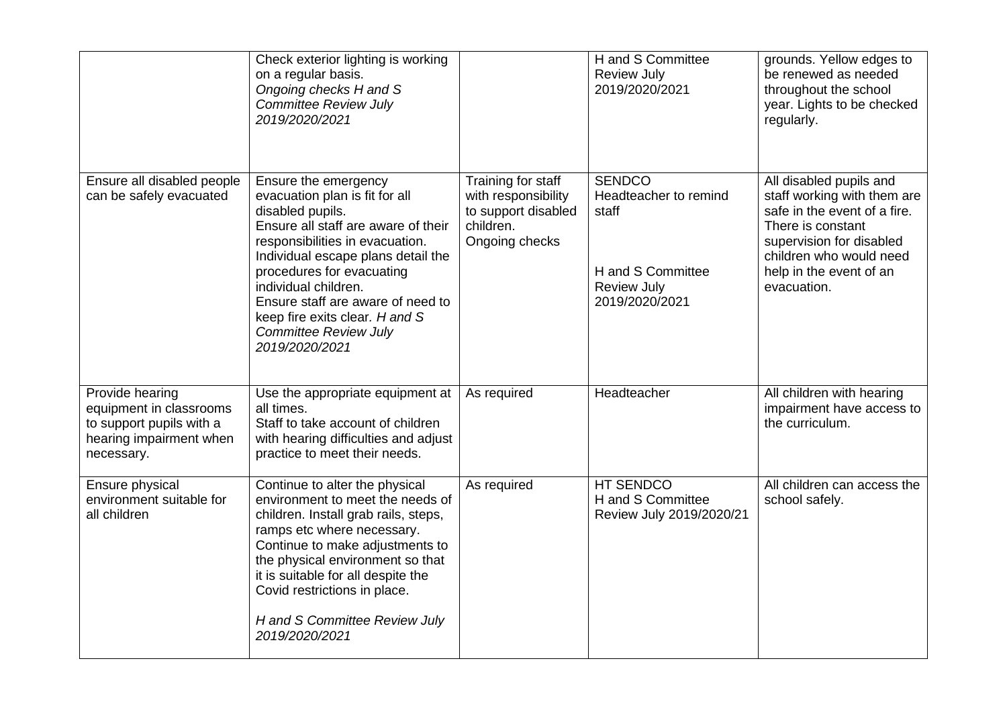|                                                                                                                 | Check exterior lighting is working<br>on a regular basis.<br>Ongoing checks H and S<br><b>Committee Review July</b><br>2019/2020/2021                                                                                                                                                                                                                                    |                                                                                                 | H and S Committee<br><b>Review July</b><br>2019/2020/2021                                                    | grounds. Yellow edges to<br>be renewed as needed<br>throughout the school<br>year. Lights to be checked<br>regularly.                                                                                        |
|-----------------------------------------------------------------------------------------------------------------|--------------------------------------------------------------------------------------------------------------------------------------------------------------------------------------------------------------------------------------------------------------------------------------------------------------------------------------------------------------------------|-------------------------------------------------------------------------------------------------|--------------------------------------------------------------------------------------------------------------|--------------------------------------------------------------------------------------------------------------------------------------------------------------------------------------------------------------|
| Ensure all disabled people<br>can be safely evacuated                                                           | Ensure the emergency<br>evacuation plan is fit for all<br>disabled pupils.<br>Ensure all staff are aware of their<br>responsibilities in evacuation.<br>Individual escape plans detail the<br>procedures for evacuating<br>individual children.<br>Ensure staff are aware of need to<br>keep fire exits clear. H and S<br><b>Committee Review July</b><br>2019/2020/2021 | Training for staff<br>with responsibility<br>to support disabled<br>children.<br>Ongoing checks | <b>SENDCO</b><br>Headteacher to remind<br>staff<br>H and S Committee<br><b>Review July</b><br>2019/2020/2021 | All disabled pupils and<br>staff working with them are<br>safe in the event of a fire.<br>There is constant<br>supervision for disabled<br>children who would need<br>help in the event of an<br>evacuation. |
| Provide hearing<br>equipment in classrooms<br>to support pupils with a<br>hearing impairment when<br>necessary. | Use the appropriate equipment at<br>all times.<br>Staff to take account of children<br>with hearing difficulties and adjust<br>practice to meet their needs.                                                                                                                                                                                                             | As required                                                                                     | Headteacher                                                                                                  | All children with hearing<br>impairment have access to<br>the curriculum.                                                                                                                                    |
| Ensure physical<br>environment suitable for<br>all children                                                     | Continue to alter the physical<br>environment to meet the needs of<br>children. Install grab rails, steps,<br>ramps etc where necessary.<br>Continue to make adjustments to<br>the physical environment so that<br>it is suitable for all despite the<br>Covid restrictions in place.<br>H and S Committee Review July<br>2019/2020/2021                                 | As required                                                                                     | HT SENDCO<br>H and S Committee<br>Review July 2019/2020/21                                                   | All children can access the<br>school safely.                                                                                                                                                                |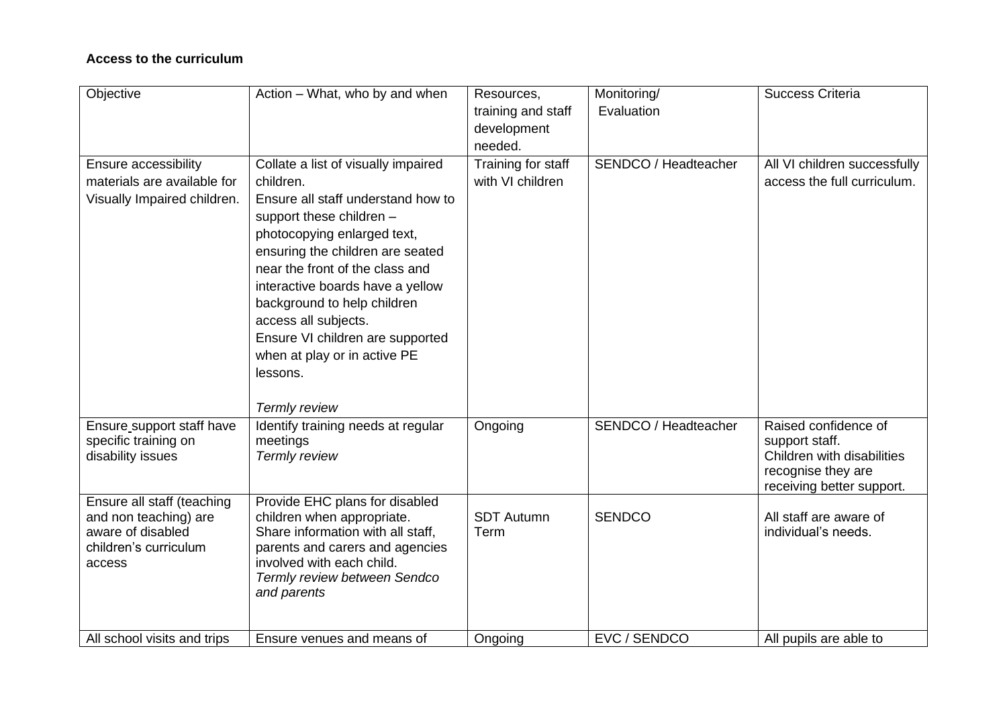### **Access to the curriculum**

| Objective                   | Action - What, who by and when                            | Resources,         | Monitoring/          | <b>Success Criteria</b>      |
|-----------------------------|-----------------------------------------------------------|--------------------|----------------------|------------------------------|
|                             |                                                           | training and staff | Evaluation           |                              |
|                             |                                                           | development        |                      |                              |
|                             |                                                           | needed.            |                      |                              |
| Ensure accessibility        | Collate a list of visually impaired                       | Training for staff | SENDCO / Headteacher | All VI children successfully |
| materials are available for | children.                                                 | with VI children   |                      | access the full curriculum.  |
| Visually Impaired children. | Ensure all staff understand how to                        |                    |                      |                              |
|                             | support these children -                                  |                    |                      |                              |
|                             | photocopying enlarged text,                               |                    |                      |                              |
|                             | ensuring the children are seated                          |                    |                      |                              |
|                             | near the front of the class and                           |                    |                      |                              |
|                             | interactive boards have a yellow                          |                    |                      |                              |
|                             | background to help children                               |                    |                      |                              |
|                             | access all subjects.                                      |                    |                      |                              |
|                             | Ensure VI children are supported                          |                    |                      |                              |
|                             | when at play or in active PE                              |                    |                      |                              |
|                             | lessons.                                                  |                    |                      |                              |
|                             |                                                           |                    |                      |                              |
|                             | Termly review                                             |                    |                      |                              |
| Ensure_support staff have   | Identify training needs at regular                        | Ongoing            | SENDCO / Headteacher | Raised confidence of         |
| specific training on        | meetings                                                  |                    |                      | support staff.               |
| disability issues           | Termly review                                             |                    |                      | Children with disabilities   |
|                             |                                                           |                    |                      | recognise they are           |
|                             |                                                           |                    |                      | receiving better support.    |
| Ensure all staff (teaching  | Provide EHC plans for disabled                            |                    |                      |                              |
| and non teaching) are       | children when appropriate.                                | <b>SDT Autumn</b>  | <b>SENDCO</b>        | All staff are aware of       |
| aware of disabled           | Share information with all staff,                         | Term               |                      | individual's needs.          |
| children's curriculum       | parents and carers and agencies                           |                    |                      |                              |
| access                      | involved with each child.<br>Termly review between Sendco |                    |                      |                              |
|                             | and parents                                               |                    |                      |                              |
|                             |                                                           |                    |                      |                              |
|                             |                                                           |                    |                      |                              |
| All school visits and trips | Ensure venues and means of                                | Ongoing            | EVC / SENDCO         | All pupils are able to       |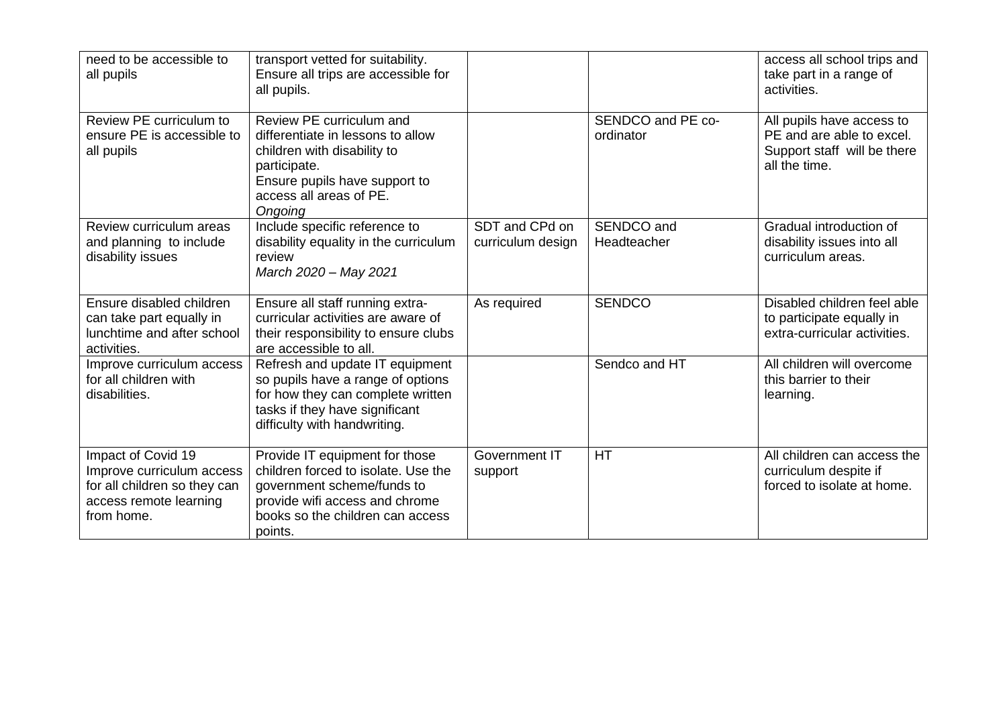| need to be accessible to<br>all pupils                                                                                  | transport vetted for suitability.<br>Ensure all trips are accessible for<br>all pupils.                                                                                              |                                     |                                | access all school trips and<br>take part in a range of<br>activities.                                  |
|-------------------------------------------------------------------------------------------------------------------------|--------------------------------------------------------------------------------------------------------------------------------------------------------------------------------------|-------------------------------------|--------------------------------|--------------------------------------------------------------------------------------------------------|
| Review PE curriculum to<br>ensure PE is accessible to<br>all pupils                                                     | Review PE curriculum and<br>differentiate in lessons to allow<br>children with disability to<br>participate.<br>Ensure pupils have support to<br>access all areas of PE.<br>Ongoing  |                                     | SENDCO and PE co-<br>ordinator | All pupils have access to<br>PE and are able to excel.<br>Support staff will be there<br>all the time. |
| Review curriculum areas<br>and planning to include<br>disability issues                                                 | Include specific reference to<br>disability equality in the curriculum<br>review<br>March 2020 - May 2021                                                                            | SDT and CPd on<br>curriculum design | SENDCO and<br>Headteacher      | Gradual introduction of<br>disability issues into all<br>curriculum areas.                             |
| Ensure disabled children<br>can take part equally in<br>lunchtime and after school<br>activities.                       | Ensure all staff running extra-<br>curricular activities are aware of<br>their responsibility to ensure clubs<br>are accessible to all.                                              | As required                         | <b>SENDCO</b>                  | Disabled children feel able<br>to participate equally in<br>extra-curricular activities.               |
| Improve curriculum access<br>for all children with<br>disabilities.                                                     | Refresh and update IT equipment<br>so pupils have a range of options<br>for how they can complete written<br>tasks if they have significant<br>difficulty with handwriting.          |                                     | Sendco and HT                  | All children will overcome<br>this barrier to their<br>learning.                                       |
| Impact of Covid 19<br>Improve curriculum access<br>for all children so they can<br>access remote learning<br>from home. | Provide IT equipment for those<br>children forced to isolate. Use the<br>government scheme/funds to<br>provide wifi access and chrome<br>books so the children can access<br>points. | Government IT<br>support            | <b>HT</b>                      | All children can access the<br>curriculum despite if<br>forced to isolate at home.                     |